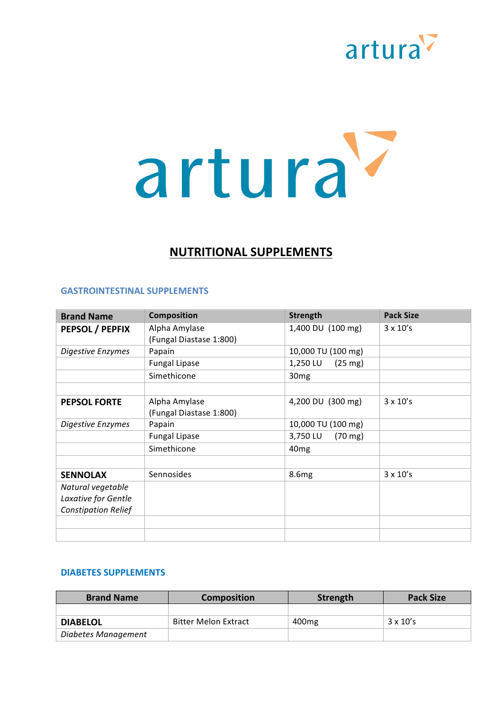

# **NUTRITIONAL SUPPLEMENTS**

#### **GASTROINTESTINAL SUPPLEMENTS**

| <b>Brand Name</b>          | <b>Composition</b>      | <b>Strength</b>               | <b>Pack Size</b> |
|----------------------------|-------------------------|-------------------------------|------------------|
| PEPSOL / PEPFIX            | Alpha Amylase           | 1,400 DU (100 mg)             | $3 \times 10's$  |
|                            | (Fungal Diastase 1:800) |                               |                  |
| Digestive Enzymes          | Papain                  | 10,000 TU (100 mg)            |                  |
|                            | <b>Fungal Lipase</b>    | 1,250 LU<br>$(25 \text{ mg})$ |                  |
|                            | Simethicone             | 30 <sub>mg</sub>              |                  |
|                            |                         |                               |                  |
| <b>PEPSOL FORTE</b>        | Alpha Amylase           | 4,200 DU (300 mg)             | $3 \times 10's$  |
|                            | (Fungal Diastase 1:800) |                               |                  |
| Digestive Enzymes          | Papain                  | 10,000 TU (100 mg)            |                  |
|                            | <b>Fungal Lipase</b>    | $(70 \text{ mg})$<br>3,750 LU |                  |
|                            | Simethicone             | 40 <sub>mg</sub>              |                  |
|                            |                         |                               |                  |
| <b>SENNOLAX</b>            | Sennosides              | 8.6 <sub>mg</sub>             | $3 \times 10's$  |
| Natural vegetable          |                         |                               |                  |
| Laxative for Gentle        |                         |                               |                  |
| <b>Constipation Relief</b> |                         |                               |                  |
|                            |                         |                               |                  |
|                            |                         |                               |                  |

#### **DIABETES SUPPLEMENTS**

| <b>Brand Name</b>   | <b>Composition</b>          | Strength          | <b>Pack Size</b> |
|---------------------|-----------------------------|-------------------|------------------|
|                     |                             |                   |                  |
| <b>DIABELOL</b>     | <b>Bitter Melon Extract</b> | 400 <sub>mg</sub> | $3 \times 10's$  |
| Diabetes Management |                             |                   |                  |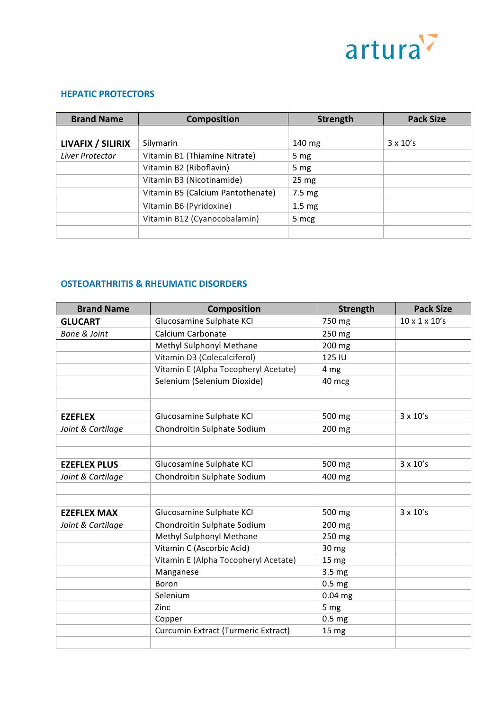

### **HEPATIC PROTECTORS**

| <b>Brand Name</b> | <b>Composition</b>                | <b>Strength</b>   | <b>Pack Size</b> |
|-------------------|-----------------------------------|-------------------|------------------|
|                   |                                   |                   |                  |
| LIVAFIX / SILIRIX | Silymarin                         | 140 mg            | $3 \times 10's$  |
| Liver Protector   | Vitamin B1 (Thiamine Nitrate)     | 5 <sub>mg</sub>   |                  |
|                   | Vitamin B2 (Riboflavin)           | 5 <sub>mg</sub>   |                  |
|                   | Vitamin B3 (Nicotinamide)         | $25 \text{ mg}$   |                  |
|                   | Vitamin B5 (Calcium Pantothenate) | 7.5 mg            |                  |
|                   | Vitamin B6 (Pyridoxine)           | 1.5 <sub>mg</sub> |                  |
|                   | Vitamin B12 (Cyanocobalamin)      | 5 mcg             |                  |
|                   |                                   |                   |                  |

# **OSTEOARTHRITIS & RHEUMATIC DISORDERS**

| <b>Brand Name</b>   | <b>Composition</b>                   | <b>Strength</b>   | <b>Pack Size</b>          |
|---------------------|--------------------------------------|-------------------|---------------------------|
| <b>GLUCART</b>      | Glucosamine Sulphate KCl             | 750 mg            | $10 \times 1 \times 10's$ |
| Bone & Joint        | Calcium Carbonate                    | 250 mg            |                           |
|                     | Methyl Sulphonyl Methane             | 200 mg            |                           |
|                     | Vitamin D3 (Colecalciferol)          | 125 IU            |                           |
|                     | Vitamin E (Alpha Tocopheryl Acetate) | 4 mg              |                           |
|                     | Selenium (Selenium Dioxide)          | 40 mcg            |                           |
|                     |                                      |                   |                           |
|                     |                                      |                   |                           |
| <b>EZEFLEX</b>      | Glucosamine Sulphate KCl             | 500 mg            | $3 \times 10's$           |
| Joint & Cartilage   | Chondroitin Sulphate Sodium          | 200 mg            |                           |
|                     |                                      |                   |                           |
|                     |                                      |                   |                           |
| <b>EZEFLEX PLUS</b> | Glucosamine Sulphate KCl             | 500 mg            | $3 \times 10's$           |
| Joint & Cartilage   | Chondroitin Sulphate Sodium          | 400 mg            |                           |
|                     |                                      |                   |                           |
|                     |                                      |                   |                           |
| <b>EZEFLEX MAX</b>  | Glucosamine Sulphate KCl             | 500 mg            | $3 \times 10's$           |
| Joint & Cartilage   | Chondroitin Sulphate Sodium          | 200 mg            |                           |
|                     | Methyl Sulphonyl Methane             | 250 mg            |                           |
|                     | Vitamin C (Ascorbic Acid)            | 30 mg             |                           |
|                     | Vitamin E (Alpha Tocopheryl Acetate) | 15 mg             |                           |
|                     | Manganese                            | 3.5 mg            |                           |
|                     | Boron                                | 0.5 <sub>mg</sub> |                           |
|                     | Selenium                             | 0.04 mg           |                           |
|                     | Zinc                                 | 5 mg              |                           |
|                     | Copper                               | 0.5 <sub>mg</sub> |                           |
|                     | Curcumin Extract (Turmeric Extract)  | 15 mg             |                           |
|                     |                                      |                   |                           |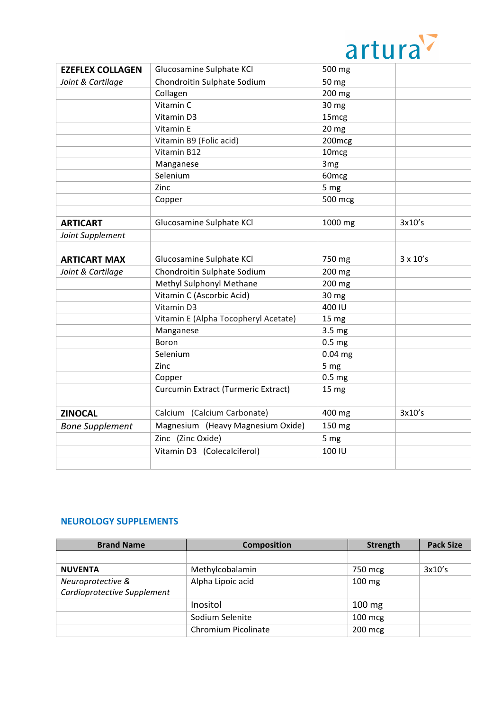

|                         |                                      | <b>UILUIU</b>     |                 |
|-------------------------|--------------------------------------|-------------------|-----------------|
| <b>EZEFLEX COLLAGEN</b> | Glucosamine Sulphate KCl             | 500 mg            |                 |
| Joint & Cartilage       | Chondroitin Sulphate Sodium          | 50 mg             |                 |
|                         | Collagen                             | 200 mg            |                 |
|                         | Vitamin C                            | 30 mg             |                 |
|                         | Vitamin D3                           | 15mcg             |                 |
|                         | Vitamin E                            | 20 <sub>mg</sub>  |                 |
|                         | Vitamin B9 (Folic acid)              | 200mcg            |                 |
|                         | Vitamin B12                          | 10 <sub>mcg</sub> |                 |
|                         | Manganese                            | 3 <sub>mg</sub>   |                 |
|                         | Selenium                             | 60 <sub>mcg</sub> |                 |
|                         | Zinc                                 | 5 mg              |                 |
|                         | Copper                               | 500 mcg           |                 |
|                         |                                      |                   |                 |
| <b>ARTICART</b>         | Glucosamine Sulphate KCl             | 1000 mg           | 3x10's          |
| Joint Supplement        |                                      |                   |                 |
|                         |                                      |                   |                 |
| <b>ARTICART MAX</b>     | Glucosamine Sulphate KCI             | 750 mg            | $3 \times 10's$ |
| Joint & Cartilage       | Chondroitin Sulphate Sodium          | 200 mg            |                 |
|                         | Methyl Sulphonyl Methane             | 200 mg            |                 |
|                         | Vitamin C (Ascorbic Acid)            | 30 mg             |                 |
|                         | Vitamin D3                           | 400 IU            |                 |
|                         | Vitamin E (Alpha Tocopheryl Acetate) | 15 <sub>mg</sub>  |                 |
|                         | Manganese                            | 3.5 mg            |                 |
|                         | Boron                                | 0.5 <sub>mg</sub> |                 |
|                         | Selenium                             | $0.04$ mg         |                 |
|                         | Zinc                                 | 5 mg              |                 |
|                         | Copper                               | 0.5 <sub>mg</sub> |                 |
|                         | Curcumin Extract (Turmeric Extract)  | 15 mg             |                 |
|                         |                                      |                   |                 |
| <b>ZINOCAL</b>          | Calcium (Calcium Carbonate)          | 400 mg            | 3x10's          |
| <b>Bone Supplement</b>  | Magnesium (Heavy Magnesium Oxide)    | 150 mg            |                 |
|                         | Zinc (Zinc Oxide)                    | 5 mg              |                 |
|                         | Vitamin D3 (Colecalciferol)          | 100 IU            |                 |
|                         |                                      |                   |                 |

#### **NEUROLOGY SUPPLEMENTS**

| <b>Brand Name</b>           | <b>Composition</b>  | <b>Strength</b>  | <b>Pack Size</b> |
|-----------------------------|---------------------|------------------|------------------|
|                             |                     |                  |                  |
| <b>NUVENTA</b>              | Methylcobalamin     | 750 mcg          | 3x10's           |
| Neuroprotective &           | Alpha Lipoic acid   | $100 \text{ mg}$ |                  |
| Cardioprotective Supplement |                     |                  |                  |
|                             | Inositol            | $100 \text{ mg}$ |                  |
|                             | Sodium Selenite     | $100$ mcg        |                  |
|                             | Chromium Picolinate | 200 mcg          |                  |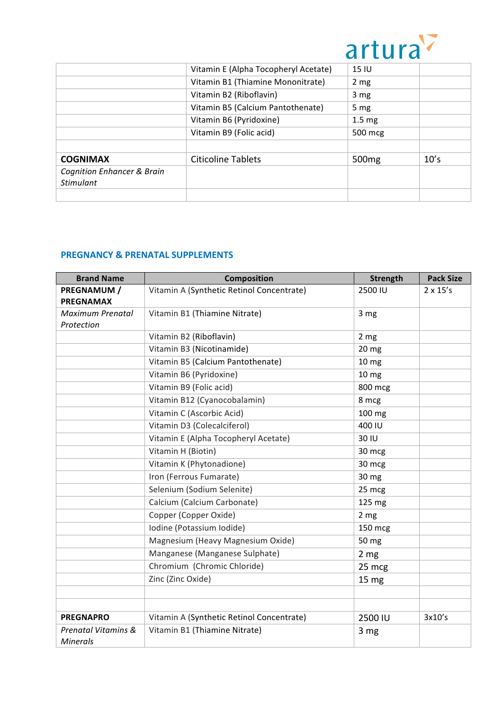

|                                       |                                      | u Lui             |      |
|---------------------------------------|--------------------------------------|-------------------|------|
|                                       | Vitamin E (Alpha Tocopheryl Acetate) | 15 IU             |      |
|                                       | Vitamin B1 (Thiamine Mononitrate)    | 2 <sub>mg</sub>   |      |
|                                       | Vitamin B2 (Riboflavin)              | 3 <sub>mg</sub>   |      |
|                                       | Vitamin B5 (Calcium Pantothenate)    | 5 <sub>mg</sub>   |      |
|                                       | Vitamin B6 (Pyridoxine)              | 1.5 <sub>mg</sub> |      |
|                                       | Vitamin B9 (Folic acid)              | 500 mcg           |      |
|                                       |                                      |                   |      |
| <b>COGNIMAX</b>                       | <b>Citicoline Tablets</b>            | 500 <sub>mg</sub> | 10's |
| <b>Cognition Enhancer &amp; Brain</b> |                                      |                   |      |
| <b>Stimulant</b>                      |                                      |                   |      |
|                                       |                                      |                   |      |

## **PREGNANCY & PRENATAL SUPPLEMENTS**

| <b>Brand Name</b>                      | <b>Composition</b>                        | <b>Strength</b>  | <b>Pack Size</b> |
|----------------------------------------|-------------------------------------------|------------------|------------------|
| PREGNAMUM /                            | Vitamin A (Synthetic Retinol Concentrate) | 2500 IU          | $2 \times 15's$  |
| <b>PREGNAMAX</b>                       |                                           |                  |                  |
| Maximum Prenatal                       | Vitamin B1 (Thiamine Nitrate)             | 3 <sub>mg</sub>  |                  |
| Protection                             |                                           |                  |                  |
|                                        | Vitamin B2 (Riboflavin)                   | 2 <sub>mg</sub>  |                  |
|                                        | Vitamin B3 (Nicotinamide)                 | 20 <sub>mg</sub> |                  |
|                                        | Vitamin B5 (Calcium Pantothenate)         | 10 <sub>mg</sub> |                  |
|                                        | Vitamin B6 (Pyridoxine)                   | 10 <sub>mg</sub> |                  |
|                                        | Vitamin B9 (Folic acid)                   | 800 mcg          |                  |
|                                        | Vitamin B12 (Cyanocobalamin)              | 8 mcg            |                  |
|                                        | Vitamin C (Ascorbic Acid)                 | 100 mg           |                  |
|                                        | Vitamin D3 (Colecalciferol)               | 400 IU           |                  |
|                                        | Vitamin E (Alpha Tocopheryl Acetate)      | 30 IU            |                  |
|                                        | Vitamin H (Biotin)                        | 30 mcg           |                  |
|                                        | Vitamin K (Phytonadione)                  | 30 mcg           |                  |
|                                        | Iron (Ferrous Fumarate)                   | 30 mg            |                  |
|                                        | Selenium (Sodium Selenite)                | 25 mcg           |                  |
|                                        | Calcium (Calcium Carbonate)               | 125 mg           |                  |
|                                        | Copper (Copper Oxide)                     | 2 <sub>mg</sub>  |                  |
|                                        | Iodine (Potassium Iodide)                 | 150 mcg          |                  |
|                                        | Magnesium (Heavy Magnesium Oxide)         | 50 mg            |                  |
|                                        | Manganese (Manganese Sulphate)            | 2 mg             |                  |
|                                        | Chromium (Chromic Chloride)               | 25 mcg           |                  |
|                                        | Zinc (Zinc Oxide)                         | 15 <sub>mg</sub> |                  |
|                                        |                                           |                  |                  |
|                                        |                                           |                  |                  |
| <b>PREGNAPRO</b>                       | Vitamin A (Synthetic Retinol Concentrate) | 2500 IU          | 3x10's           |
| Prenatal Vitamins &<br><b>Minerals</b> | Vitamin B1 (Thiamine Nitrate)             | 3 mg             |                  |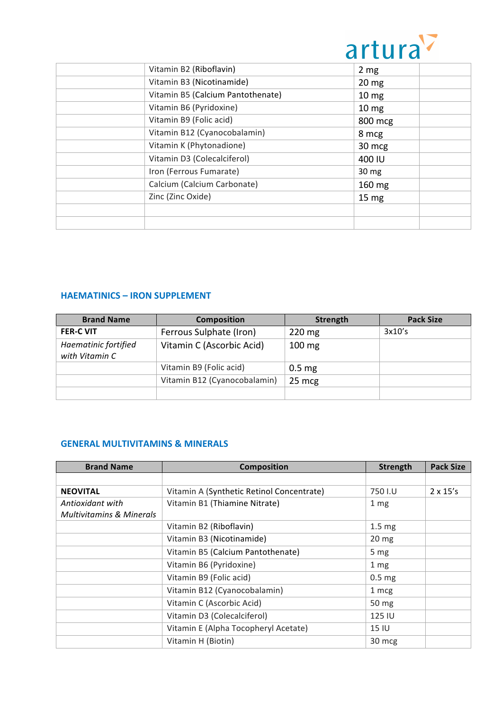

| <b>UILUIU</b>    |
|------------------|
| 2 <sub>mg</sub>  |
| $20 \text{ mg}$  |
| 10 <sub>mg</sub> |
| 10 <sub>mg</sub> |
| 800 mcg          |
| 8 mcg            |
| 30 mcg           |
| 400 IU           |
| 30 mg            |
| 160 mg           |
| 15 <sub>mg</sub> |
|                  |
|                  |
|                  |

### **HAEMATINICS – IRON SUPPLEMENT**

| <b>Brand Name</b>                      | <b>Composition</b>           | Strength         | <b>Pack Size</b> |
|----------------------------------------|------------------------------|------------------|------------------|
| <b>FER-C VIT</b>                       | Ferrous Sulphate (Iron)      | $220 \text{ mg}$ | 3x10's           |
| Haematinic fortified<br>with Vitamin C | Vitamin C (Ascorbic Acid)    | $100 \text{ mg}$ |                  |
|                                        | Vitamin B9 (Folic acid)      | $0.5 \text{ mg}$ |                  |
|                                        | Vitamin B12 (Cyanocobalamin) | 25 mcg           |                  |
|                                        |                              |                  |                  |

### **GENERAL MULTIVITAMINS & MINERALS**

| <b>Brand Name</b>                   | <b>Composition</b>                        | <b>Strength</b>   | <b>Pack Size</b> |
|-------------------------------------|-------------------------------------------|-------------------|------------------|
|                                     |                                           |                   |                  |
| <b>NEOVITAL</b>                     | Vitamin A (Synthetic Retinol Concentrate) | 750 I.U           | $2 \times 15's$  |
| Antioxidant with                    | Vitamin B1 (Thiamine Nitrate)             | 1 <sub>mg</sub>   |                  |
| <b>Multivitamins &amp; Minerals</b> |                                           |                   |                  |
|                                     | Vitamin B2 (Riboflavin)                   | 1.5 <sub>mg</sub> |                  |
|                                     | Vitamin B3 (Nicotinamide)                 | 20 <sub>mg</sub>  |                  |
|                                     | Vitamin B5 (Calcium Pantothenate)         | 5 <sub>mg</sub>   |                  |
|                                     | Vitamin B6 (Pyridoxine)                   | 1 <sub>mg</sub>   |                  |
|                                     | Vitamin B9 (Folic acid)                   | 0.5 <sub>mg</sub> |                  |
|                                     | Vitamin B12 (Cyanocobalamin)              | 1 mcg             |                  |
|                                     | Vitamin C (Ascorbic Acid)                 | 50 mg             |                  |
|                                     | Vitamin D3 (Colecalciferol)               | 125 IU            |                  |
|                                     | Vitamin E (Alpha Tocopheryl Acetate)      | 15 IU             |                  |
|                                     | Vitamin H (Biotin)                        | 30 mcg            |                  |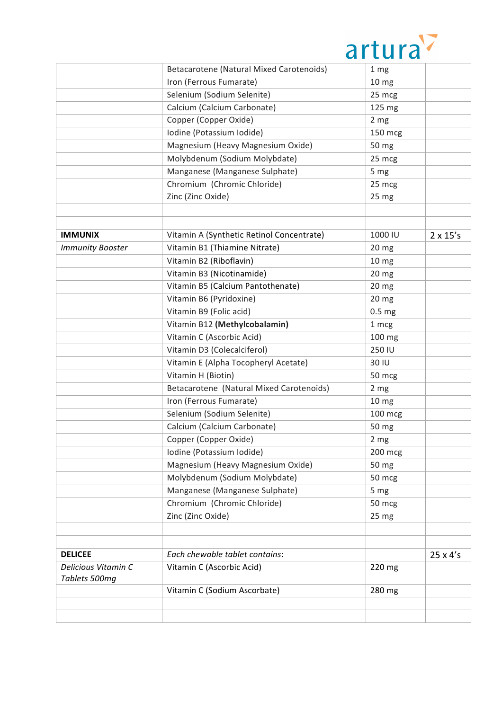

|                                      |                                           | <b>UILUIU</b>     |                 |
|--------------------------------------|-------------------------------------------|-------------------|-----------------|
|                                      | Betacarotene (Natural Mixed Carotenoids)  | 1 <sub>mg</sub>   |                 |
|                                      | Iron (Ferrous Fumarate)                   | 10 <sub>mg</sub>  |                 |
|                                      | Selenium (Sodium Selenite)                | 25 mcg            |                 |
|                                      | Calcium (Calcium Carbonate)               | 125 mg            |                 |
|                                      | Copper (Copper Oxide)                     | 2 <sub>mg</sub>   |                 |
|                                      | Iodine (Potassium Iodide)                 | 150 mcg           |                 |
|                                      | Magnesium (Heavy Magnesium Oxide)         | 50 mg             |                 |
|                                      | Molybdenum (Sodium Molybdate)             | 25 mcg            |                 |
|                                      | Manganese (Manganese Sulphate)            | 5 mg              |                 |
|                                      | Chromium (Chromic Chloride)               | 25 mcg            |                 |
|                                      | Zinc (Zinc Oxide)                         | 25 mg             |                 |
|                                      |                                           |                   |                 |
|                                      |                                           |                   |                 |
| <b>IMMUNIX</b>                       | Vitamin A (Synthetic Retinol Concentrate) | 1000 IU           | $2 \times 15's$ |
| <b>Immunity Booster</b>              | Vitamin B1 (Thiamine Nitrate)             | 20 <sub>mg</sub>  |                 |
|                                      | Vitamin B2 (Riboflavin)                   | 10 <sub>mg</sub>  |                 |
|                                      | Vitamin B3 (Nicotinamide)                 | 20 <sub>mg</sub>  |                 |
|                                      | Vitamin B5 (Calcium Pantothenate)         | 20 <sub>mg</sub>  |                 |
|                                      | Vitamin B6 (Pyridoxine)                   | 20 mg             |                 |
|                                      | Vitamin B9 (Folic acid)                   | 0.5 <sub>mg</sub> |                 |
|                                      | Vitamin B12 (Methylcobalamin)             | 1 mcg             |                 |
|                                      | Vitamin C (Ascorbic Acid)                 | 100 mg            |                 |
|                                      | Vitamin D3 (Colecalciferol)               | 250 IU            |                 |
|                                      | Vitamin E (Alpha Tocopheryl Acetate)      | 30 IU             |                 |
|                                      | Vitamin H (Biotin)                        | 50 mcg            |                 |
|                                      | Betacarotene (Natural Mixed Carotenoids)  | 2 <sub>mg</sub>   |                 |
|                                      | Iron (Ferrous Fumarate)                   | 10 <sub>mg</sub>  |                 |
|                                      | Selenium (Sodium Selenite)                | 100 mcg           |                 |
|                                      | Calcium (Calcium Carbonate)               | 50 mg             |                 |
|                                      | Copper (Copper Oxide)                     | 2 mg              |                 |
|                                      | Iodine (Potassium Iodide)                 | 200 mcg           |                 |
|                                      | Magnesium (Heavy Magnesium Oxide)         | 50 mg             |                 |
|                                      | Molybdenum (Sodium Molybdate)             | 50 mcg            |                 |
|                                      | Manganese (Manganese Sulphate)            | 5 mg              |                 |
|                                      | Chromium (Chromic Chloride)               | 50 mcg            |                 |
|                                      | Zinc (Zinc Oxide)                         | 25 mg             |                 |
|                                      |                                           |                   |                 |
|                                      |                                           |                   |                 |
| <b>DELICEE</b>                       | Each chewable tablet contains:            |                   | 25 x 4's        |
| Delicious Vitamin C<br>Tablets 500mg | Vitamin C (Ascorbic Acid)                 | 220 mg            |                 |
|                                      | Vitamin C (Sodium Ascorbate)              | 280 mg            |                 |
|                                      |                                           |                   |                 |
|                                      |                                           |                   |                 |